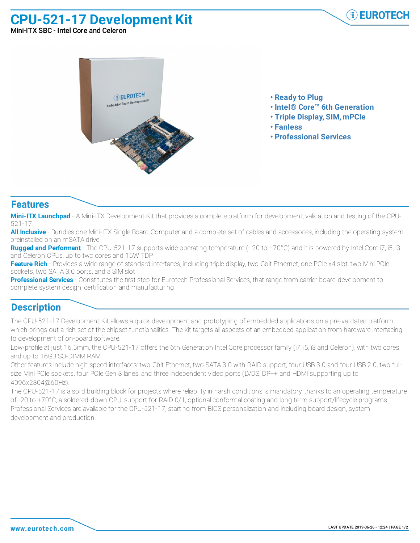**CPU-521-17 Development Kit**



Mini-ITX SBC - Intel Core and Celeron



- **• Ready to Plug**
- **• Intel® Core™ 6th Generation**
- **• Triple Display, SIM, mPCIe**
- **• Fanless**
- **• Professional Services**

## **Features**

**Mini-ITX Launchpad** - A Mini-ITX Development Kit that provides a complete platform for development, validation and testing of the CPU-521-17

**All Inclusive** - Bundles one Mini-ITX Single Board Computer and a complete set of cables and accessories, including the operating system preinstalled on an mSATA drive

**Rugged and Performant** - The CPU-521-17 supports wide operating temperature (- 20 to +70°C) and it is powered by Intel Core i7, i5, i3 and Celeron CPUs, up to two cores and 15W TDP

**Feature Rich** - Provides a wide range of standard interfaces, including triple display, two Gbit Ethernet, one PCIe x4 slot, two Mini PCIe sockets, two SATA 3.0 ports, and a SIM slot

**Professional Services** - Constitutes the first step for Eurotech Professional Services, that range from carrier board development to complete system design, certification and manufacturing

## **Description**

The CPU-521-17 Development Kit allows a quick development and prototyping of embedded applications on a pre-validated platform which brings out a rich set of the chipset functionalities. The kit targets all aspects of an embedded application from hardware interfacing to development of on-board software.

Low-profile at just 16.5mm, the CPU-521-17 offers the 6th Generation Intel Core processor family (i7, i5, i3 and Celeron), with two cores and up to 16GB SO-DIMM RAM.

Other features include high speed interfaces: two Gbit Ethernet, two SATA 3.0 with RAID support, four USB 3.0 and four USB 2.0, two fullsize Mini PCIe sockets, four PCIe Gen 3 lanes, and three independent video ports (LVDS, DP++ and HDMI supporting up to 4096x2304@60Hz).

The CPU-521-17 is a solid building block for projects where reliability in harsh conditions is mandatory, thanks to an operating temperature of -20 to +70°C, a soldered-down CPU, support for RAID 0/1, optional conformal coating and long term support/lifecycle programs. Professional Services are available for the CPU-521-17, starting from BIOS personalization and including board design, system development and production.